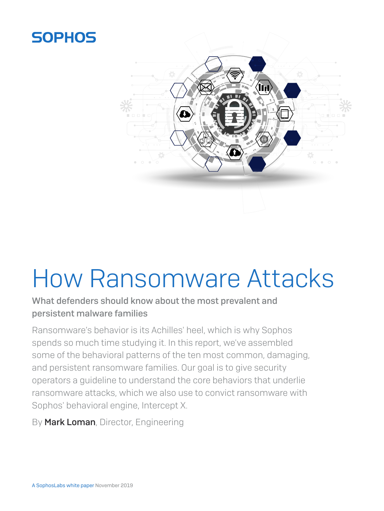# **SOPHOS**



# How Ransomware Attacks

# What defenders should know about the most prevalent and persistent malware families

Ransomware's behavior is its Achilles' heel, which is why Sophos spends so much time studying it. In this report, we've assembled some of the behavioral patterns of the ten most common, damaging, and persistent ransomware families. Our goal is to give security operators a guideline to understand the core behaviors that underlie ransomware attacks, which we also use to convict ransomware with Sophos' behavioral engine, Intercept X.

By **Mark Loman**, Director, Engineering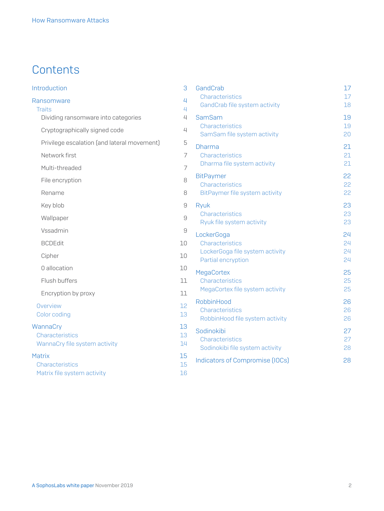# **Contents**

| Introduction                                                        | 3                        |
|---------------------------------------------------------------------|--------------------------|
| Ransomware<br><b>Traits</b><br>Dividing ransomware into categories  | 4<br>$\overline{4}$<br>4 |
| Cryptographically signed code                                       | $\overline{4}$           |
| Privilege escalation (and lateral movement)                         | 5                        |
| Network first                                                       | 7                        |
| Multi-threaded                                                      | 7                        |
| File encryption                                                     | 8                        |
| Rename                                                              | 8                        |
| Key blob                                                            | 9                        |
| Wallpaper                                                           | 9                        |
| Vssadmin                                                            | 9                        |
| <b>BCDEdit</b>                                                      | 10                       |
| Cipher                                                              | 10                       |
| 0 allocation                                                        | 10                       |
| Flush buffers                                                       | 11                       |
| Encryption by proxy                                                 | 11                       |
| <b>Overview</b><br>Color coding                                     | 12<br>13                 |
| WannaCry<br><b>Characteristics</b><br>WannaCry file system activity | 13<br>13<br>14           |
| Matrix<br><b>Characteristics</b><br>Matrix file system activity     | 15<br>15<br>16           |

| GandCrab<br>Characteristics<br>GandCrab file system activity                           | 17<br>17<br>18       |
|----------------------------------------------------------------------------------------|----------------------|
| <b>SamSam</b><br>Characteristics<br>SamSam file system activity                        | 19<br>19<br>20       |
| Dharma<br>Characteristics<br>Dharma file system activity                               | 21<br>21<br>21       |
| <b>BitPaymer</b><br>Characteristics<br>BitPaymer file system activity                  | 22<br>22<br>22       |
| Ryuk<br>Characteristics<br>Ryuk file system activity                                   | 23<br>23<br>23       |
| LockerGoga<br>Characteristics<br>LockerGoga file system activity<br>Partial encryption | 24<br>24<br>24<br>24 |
| MegaCortex<br>Characteristics<br>MegaCortex file system activity                       | 25<br>25<br>25       |
| RobbinHood<br>Characteristics<br>RobbinHood file system activity                       | 26<br>26<br>26       |
| Sodinokibi<br>Characteristics<br>Sodinokibi file system activity                       | 27<br>27<br>28       |
| <b>Indicators of Compromise (IOCs)</b>                                                 | 28                   |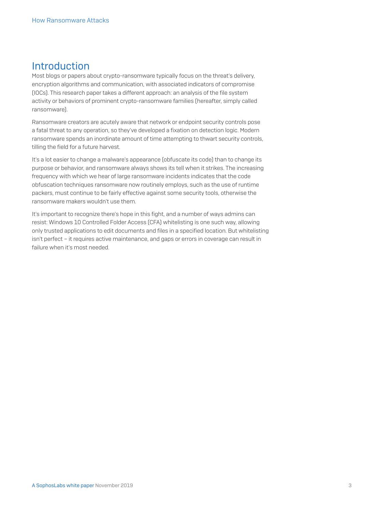# <span id="page-2-0"></span>Introduction

Most blogs or papers about crypto-ransomware typically focus on the threat's delivery, encryption algorithms and communication, with associated indicators of compromise (IOCs). This research paper takes a different approach: an analysis of the file system activity or behaviors of prominent crypto-ransomware families (hereafter, simply called ransomware).

Ransomware creators are acutely aware that network or endpoint security controls pose a fatal threat to any operation, so they've developed a fixation on detection logic. Modern ransomware spends an inordinate amount of time attempting to thwart security controls, tilling the field for a future harvest.

It's a lot easier to change a malware's appearance (obfuscate its code) than to change its purpose or behavior, and ransomware always shows its tell when it strikes. The increasing frequency with which we hear of large ransomware incidents indicates that the code obfuscation techniques ransomware now routinely employs, such as the use of runtime packers, must continue to be fairly effective against some security tools, otherwise the ransomware makers wouldn't use them.

It's important to recognize there's hope in this fight, and a number of ways admins can resist: Windows 10 Controlled Folder Access (CFA) whitelisting is one such way, allowing only trusted applications to edit documents and files in a specified location. But whitelisting isn't perfect – it requires active maintenance, and gaps or errors in coverage can result in failure when it's most needed.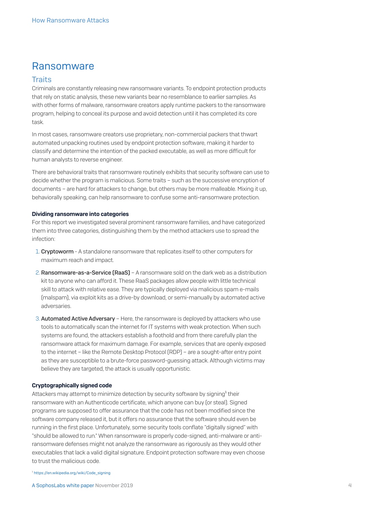## <span id="page-3-0"></span>Ransomware

#### **Traits**

Criminals are constantly releasing new ransomware variants. To endpoint protection products that rely on static analysis, these new variants bear no resemblance to earlier samples. As with other forms of malware, ransomware creators apply runtime packers to the ransomware program, helping to conceal its purpose and avoid detection until it has completed its core task.

In most cases, ransomware creators use proprietary, non-commercial packers that thwart automated unpacking routines used by endpoint protection software, making it harder to classify and determine the intention of the packed executable, as well as more difficult for human analysts to reverse engineer.

There are behavioral traits that ransomware routinely exhibits that security software can use to decide whether the program is malicious. Some traits – such as the successive encryption of documents – are hard for attackers to change, but others may be more malleable. Mixing it up, behaviorally speaking, can help ransomware to confuse some anti-ransomware protection.

#### Dividing ransomware into categories

For this report we investigated several prominent ransomware families, and have categorized them into three categories, distinguishing them by the method attackers use to spread the infection:

- 1. Cryptoworm A standalone ransomware that replicates itself to other computers for maximum reach and impact.
- 2.Ransomware-as-a-Service (RaaS) A ransomware sold on the dark web as a distribution kit to anyone who can afford it. These RaaS packages allow people with little technical skill to attack with relative ease. They are typically deployed via malicious spam e-mails (malspam), via exploit kits as a drive-by download, or semi-manually by automated active adversaries.
- 3.Automated Active Adversary Here, the ransomware is deployed by attackers who use tools to automatically scan the internet for IT systems with weak protection. When such systems are found, the attackers establish a foothold and from there carefully plan the ransomware attack for maximum damage. For example, services that are openly exposed to the internet – like the Remote Desktop Protocol (RDP) – are a sought-after entry point as they are susceptible to a brute-force password-guessing attack. Although victims may believe they are targeted, the attack is usually opportunistic.

#### Cryptographically signed code

Attackers may attempt to minimize detection by security software by signing<sup>1</sup> their ransomware with an Authenticode certificate, which anyone can buy (or steal). Signed programs are supposed to offer assurance that the code has not been modified since the software company released it, but it offers no assurance that the software should even be running in the first place. Unfortunately, some security tools conflate "digitally signed" with "should be allowed to run." When ransomware is properly code-signed, anti-malware or antiransomware defenses might not analyze the ransomware as rigorously as they would other executables that lack a valid digital signature. Endpoint protection software may even choose to trust the malicious code.

<sup>1</sup> [https://en.wikipedia.org/wiki/Code\\_signing](https://en.wikipedia.org/wiki/Code_signing)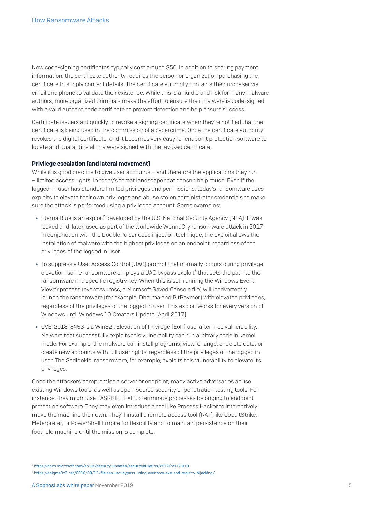<span id="page-4-0"></span>New code-signing certificates typically cost around \$50. In addition to sharing payment information, the certificate authority requires the person or organization purchasing the certificate to supply contact details. The certificate authority contacts the purchaser via email and phone to validate their existence. While this is a hurdle and risk for many malware authors, more organized criminals make the effort to ensure their malware is code-signed with a valid Authenticode certificate to prevent detection and help ensure success.

Certificate issuers act quickly to revoke a signing certificate when they're notified that the certificate is being used in the commission of a cybercrime. Once the certificate authority revokes the digital certificate, and it becomes very easy for endpoint protection software to locate and quarantine all malware signed with the revoked certificate.

#### Privilege escalation (and lateral movement)

While it is good practice to give user accounts – and therefore the applications they run – limited access rights, in today's threat landscape that doesn't help much. Even if the logged-in user has standard limited privileges and permissions, today's ransomware uses exploits to elevate their own privileges and abuse stolen administrator credentials to make sure the attack is performed using a privileged account. Some examples:

- EternalBlue is an exploit<sup>2</sup> developed by the U.S. National Security Agency (NSA). It was leaked and, later, used as part of the worldwide WannaCry ransomware attack in 2017. In conjunction with the DoublePulsar code injection technique, the exploit allows the installation of malware with the highest privileges on an endpoint, regardless of the privileges of the logged in user.
- $\rightarrow$  To suppress a User Access Control (UAC) prompt that normally occurs during privilege elevation, some ransomware employs a UAC bypass exploit<sup>3</sup> that sets the path to the ransomware in a specific registry key. When this is set, running the Windows Event Viewer process (eventvwr.msc, a Microsoft Saved Console file) will inadvertently launch the ransomware (for example, Dharma and BitPaymer) with elevated privileges, regardless of the privileges of the logged in user. This exploit works for every version of Windows until Windows 10 Creators Update (April 2017).
- ▶ CVE-2018-8453 is a Win32k Elevation of Privilege (EoP) use-after-free vulnerability. Malware that successfully exploits this vulnerability can run arbitrary code in kernel mode. For example, the malware can install programs; view, change, or delete data; or create new accounts with full user rights, regardless of the privileges of the logged in user. The Sodinokibi ransomware, for example, exploits this vulnerability to elevate its privileges.

Once the attackers compromise a server or endpoint, many active adversaries abuse existing Windows tools, as well as open-source security or penetration testing tools. For instance, they might use TASKKILL.EXE to terminate processes belonging to endpoint protection software. They may even introduce a tool like Process Hacker to interactively make the machine their own. They'll install a remote access tool (RAT) like CobaltStrike, Meterpreter, or PowerShell Empire for flexibility and to maintain persistence on their foothold machine until the mission is complete.

² <https://docs.microsoft.com/en-us/security-updates/securitybulletins/2017/ms17-010> ³ <https://enigma0x3.net/2016/08/15/fileless-uac-bypass-using-eventvwr-exe-and-registry-hijacking/>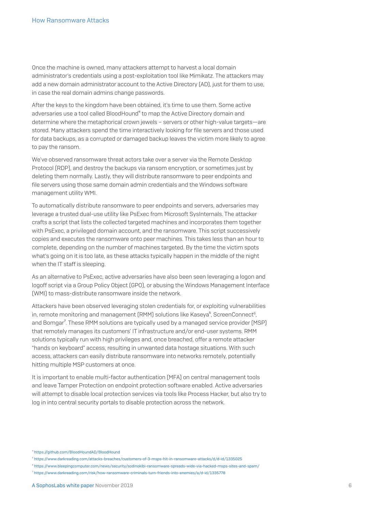Once the machine is owned, many attackers attempt to harvest a local domain administrator's credentials using a post-exploitation tool like Mimikatz. The attackers may add a new domain administrator account to the Active Directory (AD), just for them to use, in case the real domain admins change passwords.

After the keys to the kingdom have been obtained, it's time to use them. Some active adversaries use a tool called BloodHound<sup>4</sup> to map the Active Directory domain and determine where the metaphorical crown jewels – servers or other high-value targets—are stored. Many attackers spend the time interactively looking for file servers and those used for data backups, as a corrupted or damaged backup leaves the victim more likely to agree to pay the ransom.

We've observed ransomware threat actors take over a server via the Remote Desktop Protocol (RDP), and destroy the backups via ransom encryption, or sometimes just by deleting them normally. Lastly, they will distribute ransomware to peer endpoints and file servers using those same domain admin credentials and the Windows software management utility WMI.

To automatically distribute ransomware to peer endpoints and servers, adversaries may leverage a trusted dual-use utility like PsExec from Microsoft SysInternals. The attacker crafts a script that lists the collected targeted machines and incorporates them together with PsExec, a privileged domain account, and the ransomware. This script successively copies and executes the ransomware onto peer machines. This takes less than an hour to complete, depending on the number of machines targeted. By the time the victim spots what's going on it is too late, as these attacks typically happen in the middle of the night when the IT staff is sleeping.

As an alternative to PsExec, active adversaries have also been seen leveraging a logon and logoff script via a Group Policy Object (GPO), or abusing the Windows Management Interface (WMI) to mass-distribute ransomware inside the network.

Attackers have been observed leveraging stolen credentials for, or exploiting vulnerabilities in, remote monitoring and management  $(RMM)$  solutions like Kaseya $5$ , ScreenConnect $6$ , and Bomgar<sup>7</sup>. These RMM solutions are typically used by a managed service provider (MSP) that remotely manages its customers' IT infrastructure and/or end-user systems. RMM solutions typically run with high privileges and, once breached, offer a remote attacker "hands on keyboard" access, resulting in unwanted data hostage situations. With such access, attackers can easily distribute ransomware into networks remotely, potentially hitting multiple MSP customers at once.

It is important to enable multi-factor authentication (MFA) on central management tools and leave Tamper Protection on endpoint protection software enabled. Active adversaries will attempt to disable local protection services via tools like Process Hacker, but also try to log in into central security portals to disable protection across the network.

- ⁴<https://github.com/BloodHoundAD/BloodHound>
- ⁵ <https://www.darkreading.com/attacks-breaches/customers-of-3-msps-hit-in-ransomware-attacks/d/d-id/1335025>

⁶ <https://www.bleepingcomputer.com/news/security/sodinokibi-ransomware-spreads-wide-via-hacked-msps-sites-and-spam/>

⁷ <https://www.darkreading.com/risk/how-ransomware-criminals-turn-friends-into-enemies/a/d-id/1335778>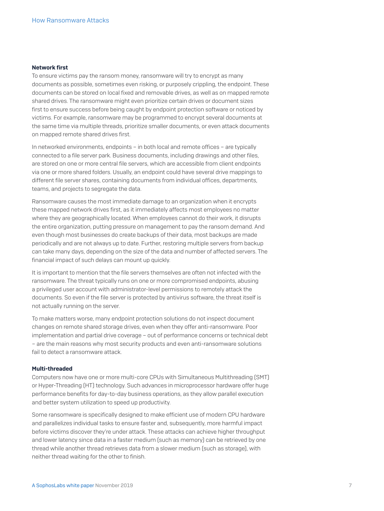#### <span id="page-6-0"></span>Network first

To ensure victims pay the ransom money, ransomware will try to encrypt as many documents as possible, sometimes even risking, or purposely crippling, the endpoint. These documents can be stored on local fixed and removable drives, as well as on mapped remote shared drives. The ransomware might even prioritize certain drives or document sizes first to ensure success before being caught by endpoint protection software or noticed by victims. For example, ransomware may be programmed to encrypt several documents at the same time via multiple threads, prioritize smaller documents, or even attack documents on mapped remote shared drives first.

In networked environments, endpoints – in both local and remote offices – are typically connected to a file server park. Business documents, including drawings and other files, are stored on one or more central file servers, which are accessible from client endpoints via one or more shared folders. Usually, an endpoint could have several drive mappings to different file server shares, containing documents from individual offices, departments, teams, and projects to segregate the data.

Ransomware causes the most immediate damage to an organization when it encrypts these mapped network drives first, as it immediately affects most employees no matter where they are geographically located. When employees cannot do their work, it disrupts the entire organization, putting pressure on management to pay the ransom demand. And even though most businesses do create backups of their data, most backups are made periodically and are not always up to date. Further, restoring multiple servers from backup can take many days, depending on the size of the data and number of affected servers. The financial impact of such delays can mount up quickly.

It is important to mention that the file servers themselves are often not infected with the ransomware. The threat typically runs on one or more compromised endpoints, abusing a privileged user account with administrator-level permissions to remotely attack the documents. So even if the file server is protected by antivirus software, the threat itself is not actually running on the server.

To make matters worse, many endpoint protection solutions do not inspect document changes on remote shared storage drives, even when they offer anti-ransomware. Poor implementation and partial drive coverage – out of performance concerns or technical debt – are the main reasons why most security products and even anti-ransomware solutions fail to detect a ransomware attack.

#### Multi-threaded

Computers now have one or more multi-core CPUs with Simultaneous Multithreading (SMT) or Hyper-Threading (HT) technology. Such advances in microprocessor hardware offer huge performance benefits for day-to-day business operations, as they allow parallel execution and better system utilization to speed up productivity.

Some ransomware is specifically designed to make efficient use of modern CPU hardware and parallelizes individual tasks to ensure faster and, subsequently, more harmful impact before victims discover they're under attack. These attacks can achieve higher throughput and lower latency since data in a faster medium (such as memory) can be retrieved by one thread while another thread retrieves data from a slower medium (such as storage), with neither thread waiting for the other to finish.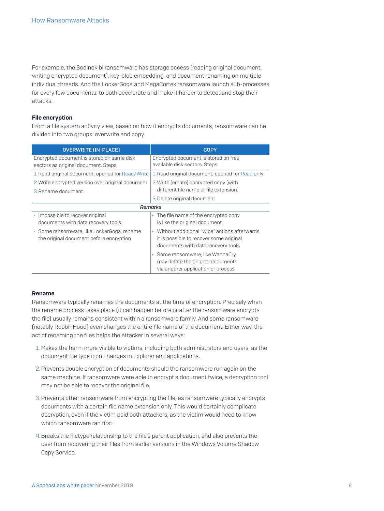<span id="page-7-0"></span>For example, the Sodinokibi ransomware has storage access (reading original document, writing encrypted document), key-blob embedding, and document renaming on multiple individual threads. And the LockerGoga and MegaCortex ransomware launch sub-processes for every few documents, to both accelerate and make it harder to detect and stop their attacks.

#### File encryption

From a file system activity view, based on how it encrypts documents, ransomware can be divided into two groups: overwrite and copy.

| <b>OVERWRITE (IN-PLACE)</b>                                                           | <b>COPY</b>                                                                                                                      |  |
|---------------------------------------------------------------------------------------|----------------------------------------------------------------------------------------------------------------------------------|--|
| Encrypted document is stored on same disk                                             | Encrypted document is stored on free                                                                                             |  |
| sectors as original document. Steps:                                                  | available disk sectors. Steps:                                                                                                   |  |
| 1. Read original document; opened for Read/Write                                      | 1. Read original document; opened for Read only                                                                                  |  |
| 2. Write encrypted version over original document                                     | 2. Write (create) encrypted copy (with                                                                                           |  |
| 3. Rename document                                                                    | different file name or file extension)                                                                                           |  |
|                                                                                       | 3. Delete original document                                                                                                      |  |
| Remarks                                                                               |                                                                                                                                  |  |
| Impossible to recover original                                                        | $\cdot$ The file name of the encrypted copy                                                                                      |  |
| documents with data recovery tools                                                    | is like the original document                                                                                                    |  |
| ▶ Some ransomware, like LockerGoga, rename<br>the original document before encryption | ▶ Without additional "wipe" actions afterwards,<br>it is possible to recover some original<br>documents with data recovery tools |  |
|                                                                                       | ▶ Some ransomware, like WannaCry,<br>may delete the original documents<br>via another application or process                     |  |

#### Rename

Ransomware typically renames the documents at the time of encryption. Precisely when the rename process takes place (it can happen before or after the ransomware encrypts the file) usually remains consistent within a ransomware family. And some ransomware (notably RobbinHood) even changes the entire file name of the document. Either way, the act of renaming the files helps the attacker in several ways:

- 1. Makes the harm more visible to victims, including both administrators and users, as the document file type icon changes in Explorer and applications.
- 2.Prevents double encryption of documents should the ransomware run again on the same machine. If ransomware were able to encrypt a document twice, a decryption tool may not be able to recover the original file.
- 3.Prevents other ransomware from encrypting the file, as ransomware typically encrypts documents with a certain file name extension only. This would certainly complicate decryption, even if the victim paid both attackers, as the victim would need to know which ransomware ran first.
- 4.Breaks the filetype relationship to the file's parent application, and also prevents the user from recovering their files from earlier versions in the Windows Volume Shadow Copy Service.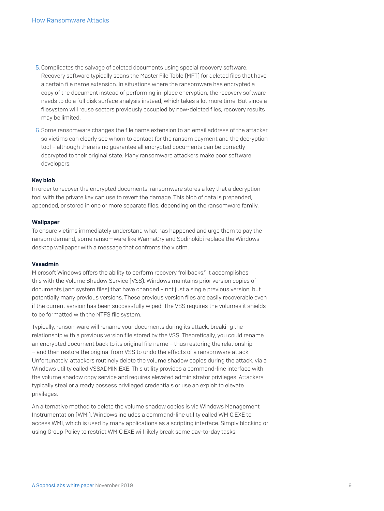- <span id="page-8-0"></span>5.Complicates the salvage of deleted documents using special recovery software. Recovery software typically scans the Master File Table (MFT) for deleted files that have a certain file name extension. In situations where the ransomware has encrypted a copy of the document instead of performing in-place encryption, the recovery software needs to do a full disk surface analysis instead, which takes a lot more time. But since a filesystem will reuse sectors previously occupied by now-deleted files, recovery results may be limited.
- 6.Some ransomware changes the file name extension to an email address of the attacker so victims can clearly see whom to contact for the ransom payment and the decryption tool – although there is no guarantee all encrypted documents can be correctly decrypted to their original state. Many ransomware attackers make poor software developers.

#### Key blob

In order to recover the encrypted documents, ransomware stores a key that a decryption tool with the private key can use to revert the damage. This blob of data is prepended, appended, or stored in one or more separate files, depending on the ransomware family.

#### Wallpaper

To ensure victims immediately understand what has happened and urge them to pay the ransom demand, some ransomware like WannaCry and Sodinokibi replace the Windows desktop wallpaper with a message that confronts the victim.

#### Vssadmin

Microsoft Windows offers the ability to perform recovery "rollbacks." It accomplishes this with the Volume Shadow Service (VSS). Windows maintains prior version copies of documents (and system files) that have changed – not just a single previous version, but potentially many previous versions. These previous version files are easily recoverable even if the current version has been successfully wiped. The VSS requires the volumes it shields to be formatted with the NTFS file system.

Typically, ransomware will rename your documents during its attack, breaking the relationship with a previous version file stored by the VSS. Theoretically, you could rename an encrypted document back to its original file name – thus restoring the relationship – and then restore the original from VSS to undo the effects of a ransomware attack. Unfortunately, attackers routinely delete the volume shadow copies during the attack, via a Windows utility called VSSADMIN.EXE. This utility provides a command-line interface with the volume shadow copy service and requires elevated administrator privileges. Attackers typically steal or already possess privileged credentials or use an exploit to elevate privileges.

An alternative method to delete the volume shadow copies is via Windows Management Instrumentation (WMI). Windows includes a command-line utility called WMIC.EXE to access WMI, which is used by many applications as a scripting interface. Simply blocking or using Group Policy to restrict WMIC.EXE will likely break some day-to-day tasks.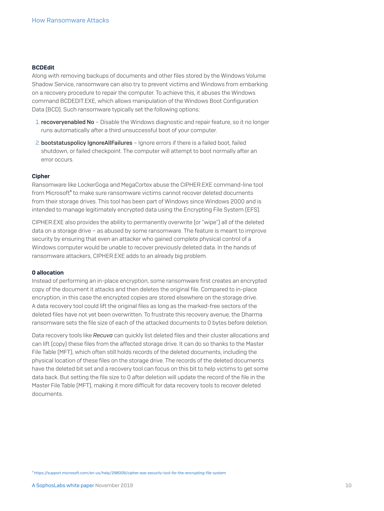#### <span id="page-9-0"></span>BCDEdit

Along with removing backups of documents and other files stored by the Windows Volume Shadow Service, ransomware can also try to prevent victims and Windows from embarking on a recovery procedure to repair the computer. To achieve this, it abuses the Windows command BCDEDIT.EXE, which allows manipulation of the Windows Boot Configuration Data (BCD). Such ransomware typically set the following options:

- 1. **recoveryenabled No** Disable the Windows diagnostic and repair feature, so it no longer runs automatically after a third unsuccessful boot of your computer.
- 2.bootstatuspolicy IgnoreAllFailures Ignore errors if there is a failed boot, failed shutdown, or failed checkpoint. The computer will attempt to boot normally after an error occurs.

#### **Cipher**

Ransomware like LockerGoga and MegaCortex abuse the CIPHER.EXE command-line tool from Microsoft<sup>®</sup> to make sure ransomware victims cannot recover deleted documents from their storage drives. This tool has been part of Windows since Windows 2000 and is intended to manage legitimately encrypted data using the Encrypting File System (EFS).

CIPHER.EXE also provides the ability to permanently overwrite (or "wipe") all of the deleted data on a storage drive – as abused by some ransomware. The feature is meant to improve security by ensuring that even an attacker who gained complete physical control of a Windows computer would be unable to recover previously deleted data. In the hands of ransomware attackers, CIPHER.EXE adds to an already big problem.

#### 0 allocation

Instead of performing an in-place encryption, some ransomware first creates an encrypted copy of the document it attacks and then deletes the original file. Compared to in-place encryption, in this case the encrypted copies are stored elsewhere on the storage drive. A data recovery tool could lift the original files as long as the marked-free sectors of the deleted files have not yet been overwritten. To frustrate this recovery avenue, the Dharma ransomware sets the file size of each of the attacked documents to 0 bytes before deletion.

Data recovery tools like *Recuva* can quickly list deleted files and their cluster allocations and can lift (copy) these files from the affected storage drive. It can do so thanks to the Master File Table (MFT), which often still holds records of the deleted documents, including the physical location of these files on the storage drive. The records of the deleted documents have the deleted bit set and a recovery tool can focus on this bit to help victims to get some data back. But setting the file size to 0 after deletion will update the record of the file in the Master File Table (MFT), making it more difficult for data recovery tools to recover deleted documents.

⁸ [https://support.microsoft.com/en-us/help/298009/cipher-exe-security-tool-for-the-encrypting-file-system](https://support.microsoft.com/en-us/help/298009/cipher-exe-security-tool-for-the-encrypting-file-sys)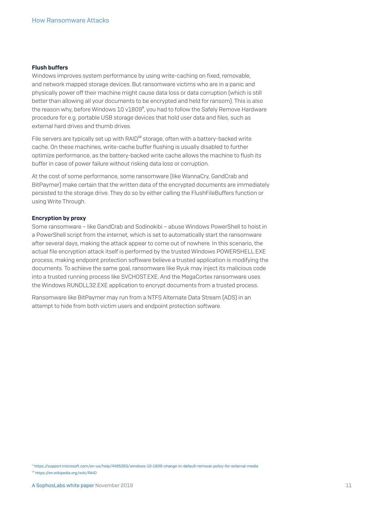#### <span id="page-10-0"></span>Flush buffers

Windows improves system performance by using write-caching on fixed, removable, and network mapped storage devices. But ransomware victims who are in a panic and physically power off their machine might cause data loss or data corruption (which is still better than allowing all your documents to be encrypted and held for ransom). This is also the reason why, before Windows 10 v1809<sup>9</sup>, you had to follow the Safely Remove Hardware procedure for e.g. portable USB storage devices that hold user data and files, such as external hard drives and thumb drives.

File servers are typically set up with RAID<sup>10</sup> storage, often with a battery-backed write cache. On these machines, write-cache buffer flushing is usually disabled to further optimize performance, as the battery-backed write cache allows the machine to flush its buffer in case of power failure without risking data loss or corruption.

At the cost of some performance, some ransomware (like WannaCry, GandCrab and BitPaymer) make certain that the written data of the encrypted documents are immediately persisted to the storage drive. They do so by either calling the FlushFileBuffers function or using Write Through.

#### Encryption by proxy

Some ransomware – like GandCrab and Sodinokibi – abuse Windows PowerShell to hoist in a PowerShell script from the internet, which is set to automatically start the ransomware after several days, making the attack appear to come out of nowhere. In this scenario, the actual file encryption attack itself is performed by the trusted Windows POWERSHELL.EXE process, making endpoint protection software believe a trusted application is modifying the documents. To achieve the same goal, ransomware like Ryuk may inject its malicious code into a trusted running process like SVCHOST.EXE. And the MegaCortex ransomware uses the Windows RUNDLL32.EXE application to encrypt documents from a trusted process.

Ransomware like BitPaymer may run from a NTFS Alternate Data Stream (ADS) in an attempt to hide from both victim users and endpoint protection software.

<sup>9</sup> [https://support.microsoft.com/en-us/help/4495263/windows-10-1809-change-in-default-removal-policy-for-external-media](https://support.microsoft.com/en-us/help/4495263/windows-10-1809-change-in-default-removal-policy-fo) <sup>10</sup> <https://en.wikipedia.org/wiki/RAID>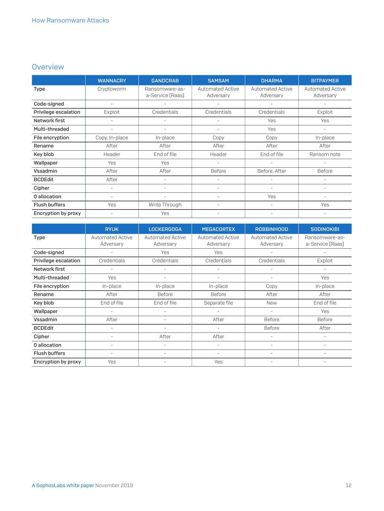### <span id="page-11-0"></span>**Overview**

|                            | <b>WANNACRY</b>          | <b>GANDCRAB</b>                    | <b>SAMSAM</b>                        | <b>DHARMA</b>                        | <b>BITPAYMER</b>                     |
|----------------------------|--------------------------|------------------------------------|--------------------------------------|--------------------------------------|--------------------------------------|
| Type                       | Cryptoworm               | Ransomware-as-<br>a-Service (Raas) | <b>Automated Active</b><br>Adversary | <b>Automated Active</b><br>Adversary | <b>Automated Active</b><br>Adversary |
| Code-signed                | $\overline{\phantom{a}}$ |                                    | $\overline{a}$                       |                                      |                                      |
| Privilege escalation       | Exploit                  | Credentials                        | Credentials                          | Credentials                          | Exploit                              |
| Network first              | $\overline{\phantom{a}}$ | $\overline{\phantom{a}}$           | $\overline{a}$                       | Yes                                  | Yes                                  |
| Multi-threaded             | $\overline{\phantom{a}}$ |                                    | $\overline{\phantom{0}}$             | Yes                                  |                                      |
| File encryption            | Copy, In-place           | In-place                           | Copy                                 | Copy                                 | In-place                             |
| Rename                     | After                    | After                              | After                                | After                                | After                                |
| Key blob                   | Header                   | End of file                        | Header                               | End of file                          | Ransom note                          |
| Wallpaper                  | Yes                      | Yes                                | $\overline{a}$                       |                                      |                                      |
| <b>Vssadmin</b>            | After                    | After                              | Before                               | Before, After                        | Before                               |
| <b>BCDEdit</b>             | After                    |                                    |                                      |                                      |                                      |
| Cipher                     | $\overline{\phantom{a}}$ | $\overline{\phantom{a}}$           | ۰                                    |                                      | ۰                                    |
| 0 allocation               | $\overline{\phantom{a}}$ | $\overline{\phantom{a}}$           | Ξ.                                   | Yes                                  |                                      |
| <b>Flush buffers</b>       | Yes                      | Write Through                      | ۰                                    | $\overline{\phantom{0}}$             | Yes                                  |
| <b>Encryption by proxy</b> |                          | Yes                                |                                      |                                      |                                      |

|                      | <b>RYUK</b>                          | <b>LOCKERGOGA</b>             | <b>MEGACORTEX</b>                    | <b>ROBBINHOOD</b>             | <b>SODINOKIBI</b>                  |
|----------------------|--------------------------------------|-------------------------------|--------------------------------------|-------------------------------|------------------------------------|
| <b>Type</b>          | <b>Automated Active</b><br>Adversary | Automated Active<br>Adversary | <b>Automated Active</b><br>Adversary | Automated Active<br>Adversary | Ransomware-as-<br>a-Service (Raas) |
| Code-signed          |                                      | Yes                           | Yes                                  |                               |                                    |
| Privilege escalation | Credentials                          | Credentials                   | Credentials                          | Credentials                   | Exploit                            |
| Network first        |                                      | $\qquad \qquad -$             | $\overline{a}$                       | ۰                             | $\overline{\phantom{a}}$           |
| Multi-threaded       | Yes                                  | $\overline{\phantom{a}}$      | $\overline{a}$                       | ۰                             | Yes                                |
| File encryption      | In-place                             | In-place                      | In-place                             | Copy                          | In-place                           |
| Rename               | After                                | <b>Before</b>                 | Before                               | After                         | After                              |
| Key blob             | End of file                          | End of file                   | Separate file                        | <b>New</b>                    | End of file                        |
| Wallpaper            | $\overline{\phantom{a}}$             | $\qquad \qquad -$             | $\overline{a}$                       | $\overline{\phantom{0}}$      | Yes                                |
| <b>Vssadmin</b>      | After                                | $\overline{\phantom{a}}$      | After                                | Before                        | Before                             |
| <b>BCDEdit</b>       |                                      |                               |                                      | Before                        | After                              |
| Cipher               |                                      | After                         | After                                | ۰                             |                                    |
| 0 allocation         | $\overline{\phantom{a}}$             | $\overline{\phantom{a}}$      | $\overline{a}$                       | $\overline{\phantom{0}}$      | $\overline{\phantom{a}}$           |
| <b>Flush buffers</b> | $\overline{\phantom{a}}$             | $\overline{\phantom{a}}$      | $\overline{\phantom{0}}$             | ۰                             | $\overline{\phantom{a}}$           |
| Encryption by proxy  | Yes                                  |                               | Yes                                  |                               |                                    |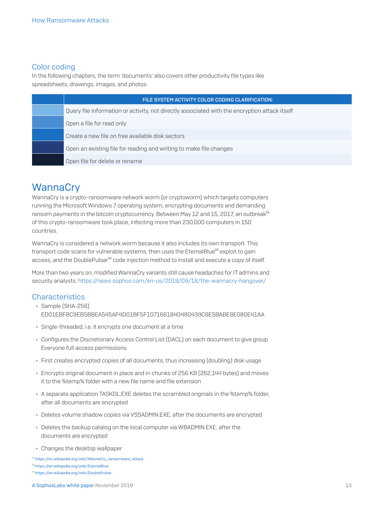#### <span id="page-12-0"></span>Color coding

In the following chapters, the term 'documents' also covers other productivity file types like spreadsheets, drawings, images, and photos.

| FILE SYSTEM ACTIVITY COLOR CODING CLARIFICATION:                                              |
|-----------------------------------------------------------------------------------------------|
| Query file information or activity, not directly associated with the encryption attack itself |
| Open a file for read only                                                                     |
| Create a new file on free available disk sectors                                              |
| Open an existing file for reading and writing to make file changes                            |
| Open file for delete or rename                                                                |

# **WannaCry**

WannaCry is a crypto-ransomware network worm (or cryptoworm) which targets computers running the Microsoft Windows 7 operating system, encrypting documents and demanding ransom payments in the bitcoin cryptocurrency. Between May 12 and 15, 2017, an outbreak<sup>11</sup> of this crypto-ransomware took place, infecting more than 230,000 computers in 150 countries.

WannaCry is considered a network worm because it also includes its own transport. This transport code scans for vulnerable systems, then uses the EternalBlue<sup>12</sup> exploit to gain access, and the DoublePulsar<sup>13</sup> code injection method to install and execute a copy of itself.

More than two years on, modified WannaCry variants still cause headaches for IT admins and security analysts:<https://news.sophos.com/en-us/2019/09/18/the-wannacry-hangover/>

### **Characteristics**

- Sample (SHA-256) ED01EBFBC9EB5BBEA545AF4D01BF5F1071661840480439C6E5BABE8E080E41AA
- $\rightarrow$  Single-threaded, i.e. it encrypts one document at a time
- **Configures the Discretionary Access Control List (DACL) on each document to give group** Everyone full access permissions
- **First creates encrypted copies of all documents, thus increasing (doubling) disk usage**
- $\rightarrow$  Encrypts original document in place and in chunks of 256 KB (262,144 bytes) and moves it to the %temp% folder with a new file name and file extension
- **A** separate application TASKDL.EXE deletes the scrambled originals in the %temp% folder, after all documents are encrypted
- **Deletes volume shadow copies via VSSADMIN.EXE, after the documents are encrypted**
- **Deletes the backup catalog on the local computer via WBADMIN.EXE, after the** documents are encrypted
- $\cdot$  Changes the desktop wallpaper

<sup>&</sup>lt;sup>11</sup> [https://en.wikipedia.org/wiki/WannaCry\\_ransomware\\_attack](https://en.wikipedia.org/wiki/WannaCry_ransomware_attack)

<sup>&</sup>lt;sup>12</sup> <https://en.wikipedia.org/wiki/EternalBlue>

<sup>&</sup>lt;sup>13</sup> <https://en.wikipedia.org/wiki/DoublePulsar>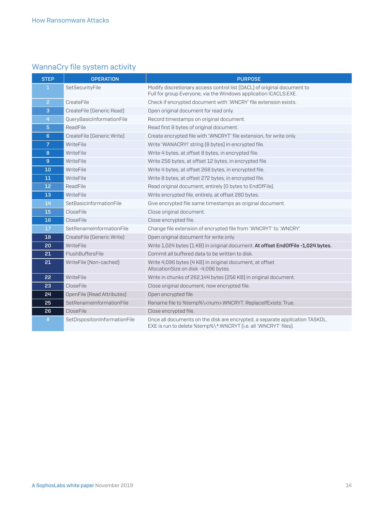# <span id="page-13-0"></span>WannaCry file system activity

| <b>STEP</b>    | <b>OPERATION</b>              | <b>PURPOSE</b>                                                                                                                                   |
|----------------|-------------------------------|--------------------------------------------------------------------------------------------------------------------------------------------------|
| $\mathbf{1}$   | SetSecurityFile               | Modify discretionary access control list (DACL) of original document to<br>Full for group Everyone, via the Windows application ICACLS.EXE.      |
| $\overline{2}$ | CreateFile                    | Check if encrypted document with 'WNCRY' file extension exists.                                                                                  |
| 3              | CreateFile (Generic Read)     | Open original document for read only.                                                                                                            |
| 4              | QueryBasicInformationFile     | Record timestamps on original document.                                                                                                          |
| 5              | ReadFile                      | Read first 8 bytes of original document.                                                                                                         |
| 6              | CreateFile (Generic Write)    | Create encrypted file with 'WNCRYT' file extension, for write only.                                                                              |
| $\overline{7}$ | WriteFile                     | Write 'WANACRY!' string [8 bytes] in encrypted file.                                                                                             |
| 8              | WriteFile                     | Write 4 bytes, at offset 8 bytes, in encrypted file.                                                                                             |
| 9              | WriteFile                     | Write 256 bytes, at offset 12 bytes, in encrypted file.                                                                                          |
| 10             | WriteFile                     | Write 4 bytes, at offset 268 bytes, in encrypted file.                                                                                           |
| 11             | WriteFile                     | Write 8 bytes, at offset 272 bytes, in encrypted file.                                                                                           |
| 12             | ReadFile                      | Read original document, entirely (0 bytes to EndOfFile).                                                                                         |
| 13             | WriteFile                     | Write encrypted file, entirely, at offset 280 bytes.                                                                                             |
| 14             | SetBasicInformationFile       | Give encrypted file same timestamps as original document.                                                                                        |
| 15             | CloseFile                     | Close original document.                                                                                                                         |
| 16             | CloseFile                     | Close encrypted file.                                                                                                                            |
| 17             | SetRenameInformationFile      | Change file extension of encrypted file from 'WNCRYT' to 'WNCRY'.                                                                                |
| 18             | CreateFile (Generic Write)    | Open original document for write only.                                                                                                           |
| 20             | WriteFile                     | Write 1,024 bytes (1 KB) in original document. At offset EndOfFile -1,024 bytes.                                                                 |
| 21             | FlushBuffersFile              | Commit all buffered data to be written to disk.                                                                                                  |
| 21             | WriteFile (Non-cached)        | Write 4,096 bytes (4 KB) in original document, at offset<br>AllocationSize on disk -4,096 bytes.                                                 |
| 22             | WriteFile                     | Write in chunks of 262,144 bytes (256 KB) in original document.                                                                                  |
| 23             | CloseFile                     | Close original document, now encrypted file.                                                                                                     |
| 24             | OpenFile (Read Attributes)    | Open encrypted file.                                                                                                                             |
| 25             | SetRenameInformationFile      | Rename file to %temp%\ <num>.WNCRYT. ReplaceIfExists: True.</num>                                                                                |
| 26             | CloseFile                     | Close encrypted file.                                                                                                                            |
| #              | SetDispositionInformationFile | Once all documents on the disk are encrypted, a separate application TASKDL.<br>EXE is run to delete %temp%\*.WNCRYT (i.e. all '.WNCRYT' files). |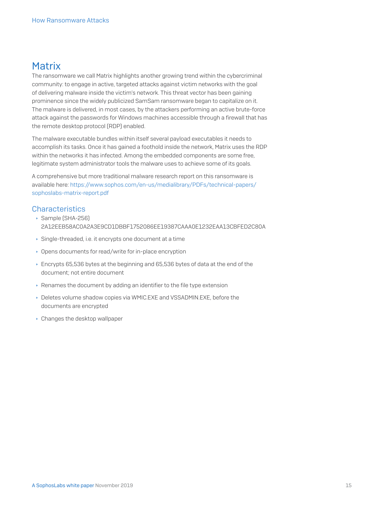# <span id="page-14-0"></span>**Matrix**

The ransomware we call Matrix highlights another growing trend within the cybercriminal community: to engage in active, targeted attacks against victim networks with the goal of delivering malware inside the victim's network. This threat vector has been gaining prominence since the widely publicized SamSam ransomware began to capitalize on it. The malware is delivered, in most cases, by the attackers performing an active brute-force attack against the passwords for Windows machines accessible through a firewall that has the remote desktop protocol (RDP) enabled.

The malware executable bundles within itself several payload executables it needs to accomplish its tasks. Once it has gained a foothold inside the network, Matrix uses the RDP within the networks it has infected. Among the embedded components are some free, legitimate system administrator tools the malware uses to achieve some of its goals.

A comprehensive but more traditional malware research report on this ransomware is available here: https://www.sophos.com/en-us/medialibrary/PDFs/technical-papers/ sophoslabs-matrix-report.pdf

### Characteristics

- Sample (SHA-256) 2A12EEB58AC0A2A3E9CD1DBBF1752086EE19387CAAA0E1232EAA13CBFED2C80A
- Single-threaded, i.e. it encrypts one document at a time
- Opens documents for read/write for in-place encryption
- Encrypts 65,536 bytes at the beginning and 65,536 bytes of data at the end of the document; not entire document
- ▶ Renames the document by adding an identifier to the file type extension
- Deletes volume shadow copies via WMIC.EXE and VSSADMIN.EXE, before the documents are encrypted
- Changes the desktop wallpaper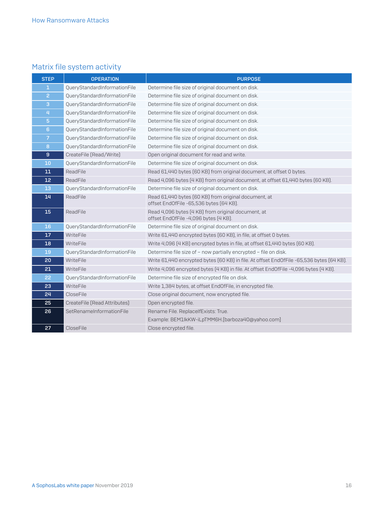# <span id="page-15-0"></span>Matrix file system activity

| <b>STEP</b>    | <b>OPERATION</b>             | <b>PURPOSE</b>                                                                                  |
|----------------|------------------------------|-------------------------------------------------------------------------------------------------|
| 1              | QueryStandardInformationFile | Determine file size of original document on disk.                                               |
| $\overline{c}$ | QueryStandardInformationFile | Determine file size of original document on disk.                                               |
| 3              | QueryStandardInformationFile | Determine file size of original document on disk.                                               |
| 4              | QueryStandardInformationFile | Determine file size of original document on disk.                                               |
| 5              | QueryStandardInformationFile | Determine file size of original document on disk.                                               |
| $6\phantom{a}$ | QueryStandardInformationFile | Determine file size of original document on disk.                                               |
| 7              | QueryStandardInformationFile | Determine file size of original document on disk.                                               |
| 8              | QueryStandardInformationFile | Determine file size of original document on disk.                                               |
| 9              | CreateFile (Read/Write)      | Open original document for read and write.                                                      |
| 10             | QueryStandardInformationFile | Determine file size of original document on disk.                                               |
| 11             | ReadFile                     | Read 61,440 bytes (60 KB) from original document, at offset 0 bytes.                            |
| 12             | ReadFile                     | Read 4,096 bytes (4 KB) from original document, at offset 61,440 bytes (60 KB).                 |
| 13             | QueryStandardInformationFile | Determine file size of original document on disk.                                               |
| 14             | ReadFile                     | Read 61,440 bytes (60 KB) from original document, at<br>offset EndOfFile -65,536 bytes (64 KB). |
| 15             | ReadFile                     | Read 4,096 bytes (4 KB) from original document, at<br>offset EndOfFile -4,096 bytes [4 KB].     |
| 16             | QueryStandardInformationFile | Determine file size of original document on disk.                                               |
| 17             | WriteFile                    | Write 61,440 encrypted bytes (60 KB), in file, at offset 0 bytes.                               |
| 18             | WriteFile                    | Write 4,096 (4 KB) encrypted bytes in file, at offset 61,440 bytes (60 KB).                     |
| 19             | QueryStandardInformationFile | Determine file size of - now partially encrypted - file on disk.                                |
| 20             | WriteFile                    | Write 61,440 encrypted bytes (60 KB) in file. At offset EndOfFile -65,536 bytes (64 KB).        |
| 21             | WriteFile                    | Write 4,096 encrypted bytes (4 KB) in file. At offset EndOfFile -4,096 bytes (4 KB).            |
| 22             | QueryStandardInformationFile | Determine file size of encrypted file on disk.                                                  |
| 23             | WriteFile                    | Write 1,384 bytes, at offset EndOfFile, in encrypted file.                                      |
| 24             | CloseFile                    | Close original document, now encrypted file.                                                    |
| 25             | CreateFile (Read Attributes) | Open encrypted file.                                                                            |
| 26             | SetRenameInformationFile     | Rename File. ReplaceIfExists: True.                                                             |
|                |                              | Example: BEM1IkKW-iLpTMM6H.[barboza40@yahoo.com]                                                |
| 27             | CloseFile                    | Close encrypted file.                                                                           |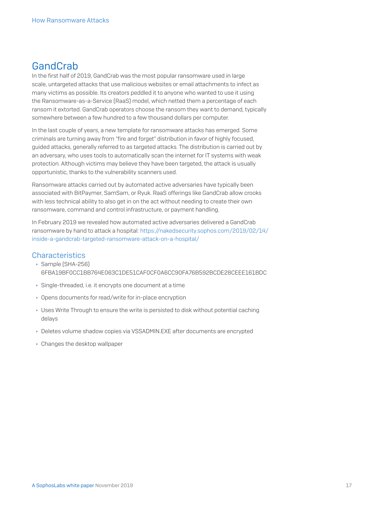# <span id="page-16-0"></span>GandCrab

In the first half of 2019, GandCrab was the most popular ransomware used in large scale, untargeted attacks that use malicious websites or email attachments to infect as many victims as possible. Its creators peddled it to anyone who wanted to use it using the Ransomware-as-a-Service (RaaS) model, which netted them a percentage of each ransom it extorted. GandCrab operators choose the ransom they want to demand, typically somewhere between a few hundred to a few thousand dollars per computer.

In the last couple of years, a new template for ransomware attacks has emerged. Some criminals are turning away from "fire and forget" distribution in favor of highly focused, guided attacks, generally referred to as targeted attacks. The distribution is carried out by an adversary, who uses tools to automatically scan the internet for IT systems with weak protection. Although victims may believe they have been targeted, the attack is usually opportunistic, thanks to the vulnerability scanners used.

Ransomware attacks carried out by automated active adversaries have typically been associated with BitPaymer, SamSam, or Ryuk. RaaS offerings like GandCrab allow crooks with less technical ability to also get in on the act without needing to create their own ransomware, command and control infrastructure, or payment handling.

In February 2019 we revealed how automated active adversaries delivered a GandCrab ransomware by hand to attack a hospital: [https://nakedsecurity.sophos.com/2019/02/14/](https://nakedsecurity.sophos.com/2019/02/14/inside-a-gandcrab-targeted-ransomware-attack-on-a-hospit) [inside-a-gandcrab-targeted-ransomware-attack-on-a-hospital/](https://nakedsecurity.sophos.com/2019/02/14/inside-a-gandcrab-targeted-ransomware-attack-on-a-hospit)

#### **Characteristics**

- ▶ Sample (SHA-256) 6FBA19BF0CC1BB764E063C1DE51CAF0CF0A6CC90FA76B592BCDE28CEEE161BDC
- $\rightarrow$  Single-threaded, i.e. it encrypts one document at a time
- **Opens documents for read/write for in-place encryption**
- **Uses Write Through to ensure the write is persisted to disk without potential caching** delays
- **Deletes volume shadow copies via VSSADMIN.EXE after documents are encrypted**
- $\cdot$  Changes the desktop wallpaper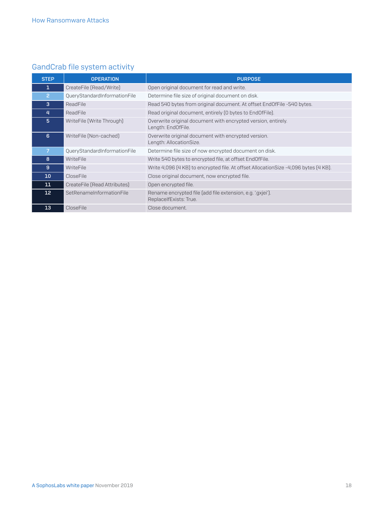# <span id="page-17-0"></span>GandCrab file system activity

| <b>STEP</b>     | <b>OPERATION</b>             | <b>PURPOSE</b>                                                                      |
|-----------------|------------------------------|-------------------------------------------------------------------------------------|
| 1               | CreateFile (Read/Write)      | Open original document for read and write.                                          |
| $\mathbf{2}$    | QueryStandardInformationFile | Determine file size of original document on disk.                                   |
| 3               | ReadFile                     | Read 540 bytes from original document. At offset EndOfFile -540 bytes.              |
| 4               | ReadFile                     | Read original document, entirely (0 bytes to EndOfFile).                            |
| 5               | WriteFile (Write Through)    | Overwrite original document with encrypted version, entirely.<br>Length: EndOfFile. |
| 6               | WriteFile (Non-cached)       | Overwrite original document with encrypted version.<br>Length: AllocationSize.      |
| $\overline{7}$  | QueryStandardInformationFile | Determine file size of now encrypted document on disk.                              |
| 8               | WriteFile                    | Write 540 bytes to encrypted file, at offset EndOfFile.                             |
| 9               | WriteFile                    | Write 4,096 [4 KB] to encrypted file. At offset AllocationSize -4,096 bytes [4 KB]. |
| 10 <sub>1</sub> | CloseFile                    | Close original document, now encrypted file.                                        |
| 11              | CreateFile (Read Attributes) | Open encrypted file.                                                                |
| 12              | SetRenameInformationFile     | Rename encrypted file (add file extension, e.g. 'gxiei').<br>ReplaceIfExists: True. |
| 13              | CloseFile                    | Close document.                                                                     |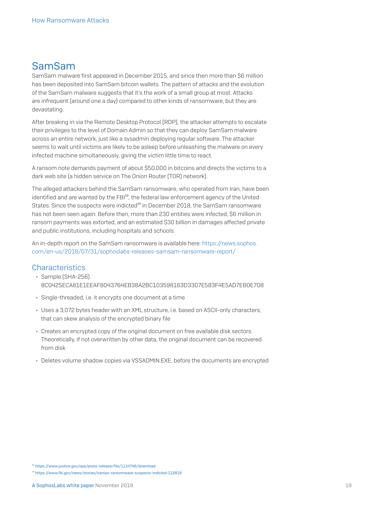# <span id="page-18-0"></span>SamSam

SamSam malware first appeared in December 2015, and since then more than \$6 million has been deposited into SamSam bitcoin wallets. The pattern of attacks and the evolution of the SamSam malware suggests that it's the work of a small group at most. Attacks are infrequent (around one a day) compared to other kinds of ransomware, but they are devastating.

After breaking in via the Remote Desktop Protocol (RDP), the attacker attempts to escalate their privileges to the level of Domain Admin so that they can deploy SamSam malware across an entire network, just like a sysadmin deploying regular software. The attacker seems to wait until victims are likely to be asleep before unleashing the malware on every infected machine simultaneously, giving the victim little time to react.

A ransom note demands payment of about \$50,000 in bitcoins and directs the victims to a dark web site (a hidden service on The Onion Router (TOR) network).

The alleged attackers behind the SamSam ransomware, who operated from Iran, have been identified and are wanted by the FBI<sup>13</sup>, the federal law enforcement agency of the United States. Since the suspects were indicted<sup>14</sup> in December 2018, the SamSam ransomware has not been seen again. Before then, more than 230 entities were infected, \$6 million in ransom payments was extorted, and an estimated \$30 billion in damages affected private and public institutions, including hospitals and schools.

An in-depth report on the SamSam ransomware is available here: [https://news.sophos.](https://news.sophos.com/en-us/2018/07/31/sophoslabs-releases-samsam-ransomware-report/) [com/en-us/2018/07/31/sophoslabs-releases-samsam-ransomware-report/](https://news.sophos.com/en-us/2018/07/31/sophoslabs-releases-samsam-ransomware-report/)

### **Characteristics**

- Sample (SHA-256) 8C0425ECA81E1EEAF8043764EB38A2BC103598163D3307E583F4E5AD7EB0E708
- $\rightarrow$  Single-threaded, i.e. it encrypts one document at a time
- Uses a 3,072 bytes header with an XML structure, i.e. based on ASCII-only characters, that can skew analysis of the encrypted binary file
- ▶ Creates an encrypted copy of the original document on free available disk sectors. Theoretically, if not overwritten by other data, the original document can be recovered from disk
- **Deletes volume shadow copies via VSSADMIN.EXE, before the documents are encrypted**

<sup>13</sup> <https://www.justice.gov/opa/press-release/file/1114746/download>

<sup>&</sup>lt;sup>14</sup> <https://www.fbi.gov/news/stories/iranian-ransomware-suspects-indicted-112818>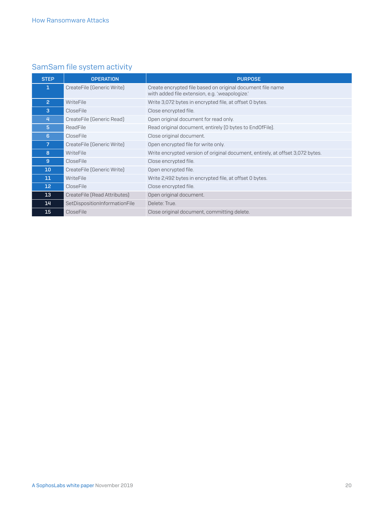# <span id="page-19-0"></span>SamSam file system activity

| <b>STEP</b>    | <b>OPERATION</b>              | <b>PURPOSE</b>                                                                                               |
|----------------|-------------------------------|--------------------------------------------------------------------------------------------------------------|
| 1              | CreateFile (Generic Write)    | Create encrypted file based on original document file name<br>with added file extension, e.g. 'weapologize.' |
| 2              | WriteFile                     | Write 3,072 bytes in encrypted file, at offset 0 bytes.                                                      |
| 3              | CloseFile                     | Close encrypted file.                                                                                        |
| 4              | CreateFile (Generic Read)     | Open original document for read only.                                                                        |
| 5.             | ReadFile                      | Read original document, entirely (0 bytes to EndOfFile).                                                     |
| 6              | CloseFile                     | Close original document.                                                                                     |
| $\overline{7}$ | CreateFile (Generic Write)    | Open encrypted file for write only.                                                                          |
| 8              | WriteFile                     | Write encrypted version of original document, entirely, at offset 3,072 bytes.                               |
| 9              | CloseFile                     | Close encrypted file.                                                                                        |
| 10             | CreateFile (Generic Write)    | Open encrypted file.                                                                                         |
| 11             | WriteFile                     | Write 2,492 bytes in encrypted file, at offset 0 bytes.                                                      |
| 12             | CloseFile                     | Close encrypted file.                                                                                        |
| 13             | CreateFile (Read Attributes)  | Open original document.                                                                                      |
| 14             | SetDispositionInformationFile | Delete: True.                                                                                                |
| 15             | CloseFile                     | Close original document, committing delete.                                                                  |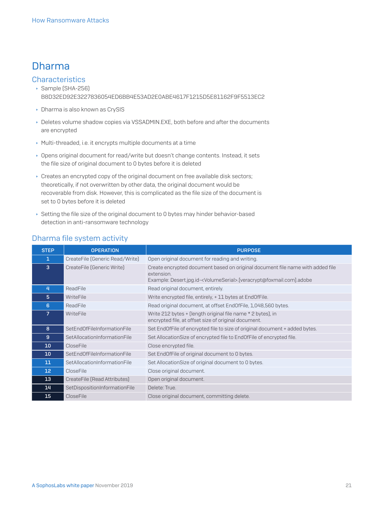# <span id="page-20-0"></span>Dharma

### Characteristics

- Sample (SHA-256) B8D32ED92E3227836054ED6BB4E53AD2E0ABE4617F1215D5E81162F9F5513EC2
- ▶ Dharma is also known as CrySIS
- Deletes volume shadow copies via VSSADMIN.EXE, both before and after the documents are encrypted
- ▶ Multi-threaded, i.e. it encrypts multiple documents at a time
- ▶ Opens original document for read/write but doesn't change contents. Instead, it sets the file size of original document to 0 bytes before it is deleted
- Creates an encrypted copy of the original document on free available disk sectors; theoretically, if not overwritten by other data, the original document would be recoverable from disk. However, this is complicated as the file size of the document is set to 0 bytes before it is deleted
- ▶ Setting the file size of the original document to 0 bytes may hinder behavior-based detection in anti-ransomware technology

| <b>STEP</b>    | <b>OPERATION</b>                | <b>PURPOSE</b>                                                                                                                                                                      |
|----------------|---------------------------------|-------------------------------------------------------------------------------------------------------------------------------------------------------------------------------------|
| 1              | CreateFile (Generic Read/Write) | Open original document for reading and writing.                                                                                                                                     |
| 3              | CreateFile (Generic Write)      | Create encrypted document based on original document file name with added file<br>extension.<br>Example: Desert.jpg.id- <volumeserial>.[veracrypt@foxmail.com].adobe</volumeserial> |
| $\overline{4}$ | ReadFile                        | Read original document, entirely.                                                                                                                                                   |
| 5              | WriteFile                       | Write encrypted file, entirely, +11 bytes at EndOfFile.                                                                                                                             |
| 6              | ReadFile                        | Read original document, at offset EndOfFile, 1,048,560 bytes.                                                                                                                       |
| 7              | WriteFile                       | Write 212 bytes + (length original file name * 2 bytes), in<br>encrypted file, at offset size of original document.                                                                 |
| 8              | SetEndOfFileInformationFile     | Set EndOfFile of encrypted file to size of original document + added bytes.                                                                                                         |
| 9              | SetAllocationInformationFile    | Set Allocation Size of encrypted file to EndOfFile of encrypted file.                                                                                                               |
| 10             | CloseFile                       | Close encrypted file.                                                                                                                                                               |
| 10             | SetEndOfFileInformationFile     | Set EndOfFile of original document to 0 bytes.                                                                                                                                      |
| 11             | SetAllocationInformationFile    | Set AllocationSize of original document to 0 bytes.                                                                                                                                 |
| 12             | CloseFile                       | Close original document.                                                                                                                                                            |
| 13             | CreateFile (Read Attributes)    | Open original document.                                                                                                                                                             |
| 14             | SetDispositionInformationFile   | Delete: True.                                                                                                                                                                       |
| 15             | CloseFile                       | Close original document, committing delete.                                                                                                                                         |

### Dharma file system activity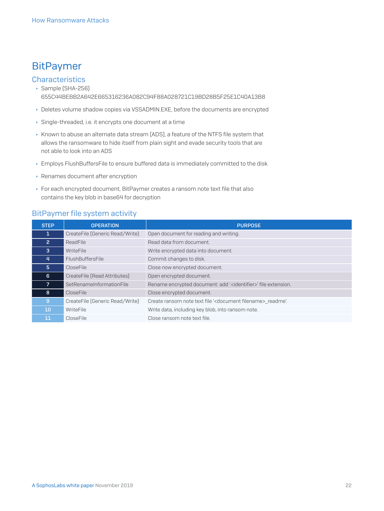# <span id="page-21-0"></span>**BitPaymer**

### **Characteristics**

- Sample [SHA-256] 655C44BEBB2A642E665316236A082C94F88A028721C19BD28B5F25E1C40A13B8
- Deletes volume shadow copies via VSSADMIN.EXE, before the documents are encrypted
- Single-threaded, i.e. it encrypts one document at a time
- Known to abuse an alternate data stream (ADS), a feature of the NTFS file system that allows the ransomware to hide itself from plain sight and evade security tools that are not able to look into an ADS
- Employs FlushBuffersFile to ensure buffered data is immediately committed to the disk
- Renames document after encryption
- ▶ For each encrypted document, BitPaymer creates a ransom note text file that also contains the key blob in base64 for decryption

### BitPaymer file system activity

| <b>STEP</b>    | <b>OPERATION</b>                | <b>PURPOSE</b>                                                  |
|----------------|---------------------------------|-----------------------------------------------------------------|
| 1              | CreateFile (Generic Read/Write) | Open document for reading and writing.                          |
| 2              | ReadFile                        | Read data from document.                                        |
| 3              | WriteFile                       | Write encrypted data into document.                             |
| $\overline{4}$ | <b>FlushBuffersFile</b>         | Commit changes to disk.                                         |
| 5              | CloseFile                       | Close now encrypted document.                                   |
| 6              | CreateFile (Read Attributes)    | Open encrypted document.                                        |
| 7              | SetRenameInformationFile        | Rename encrypted document: add '.< identifier>' file extension. |
| 8              | CloseFile                       | Close encrypted document.                                       |
| -9             | CreateFile [Generic Read/Write] | Create ransom note text file '< document filename> readme'.     |
| 10             | WriteFile                       | Write data, including key blob, into ransom note.               |
| 11             | CloseFile                       | Close ransom note text file.                                    |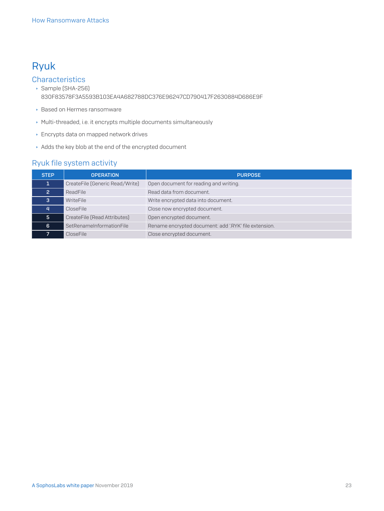# <span id="page-22-0"></span>Ryuk

### **Characteristics**

- Sample (SHA-256) 830F83578F3A5593B103EA4A682788DC376E96247CD790417F2630884D686E9F
- ▶ Based on Hermes ransomware
- ▶ Multi-threaded, i.e. it encrypts multiple documents simultaneously
- ▶ Encrypts data on mapped network drives
- Adds the key blob at the end of the encrypted document

### Ryuk file system activity

| <b>STEP</b> | <b>OPERATION</b>                | <b>PURPOSE</b>                                        |
|-------------|---------------------------------|-------------------------------------------------------|
|             | CreateFile (Generic Read/Write) | Open document for reading and writing.                |
| 2           | ReadFile                        | Read data from document.                              |
| 3           | WriteFile                       | Write encrypted data into document.                   |
| 4           | <b>CloseFile</b>                | Close now encrypted document.                         |
| 5           | CreateFile (Read Attributes)    | Open encrypted document.                              |
| 6           | SetRenameInformationFile        | Rename encrypted document: add '.RYK' file extension. |
|             | CloseFile                       | Close encrypted document.                             |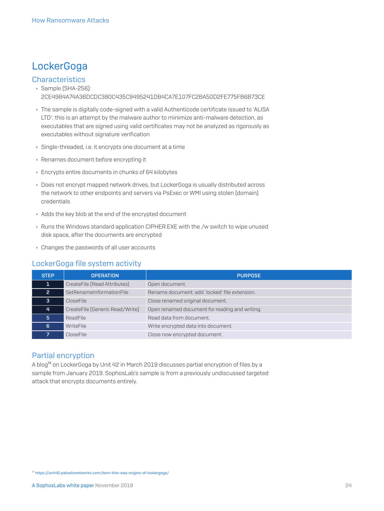# <span id="page-23-0"></span>LockerGoga

### **Characteristics**

- Sample (SHA-256): 2CE4984A74A36DCDC380C435C9495241DB4CA7E107FC2BA50D2FE775FB6B73CE
- The sample is digitally code-signed with a valid Authenticode certificate issued to 'ALISA LTD'; this is an attempt by the malware author to minimize anti-malware detection, as executables that are signed using valid certificates may not be analyzed as rigorously as executables without signature verification
- Single-threaded, i.e. it encrypts one document at a time
- Renames document before encrypting it
- Encrypts entire documents in chunks of 64 kilobytes
- Does not encrypt mapped network drives, but LockerGoga is usually distributed across the network to other endpoints and servers via PsExec or WMI using stolen (domain) credentials
- Adds the key blob at the end of the encrypted document
- ▶ Runs the Windows standard application CIPHER.EXE with the /w switch to wipe unused disk space, after the documents are encrypted
- ▸ Changes the passwords of all user accounts

| <b>STEP</b> | <b>OPERATION</b>                | <b>PURPOSE</b>                                 |
|-------------|---------------------------------|------------------------------------------------|
|             | CreateFile (Read Attributes)    | Open document.                                 |
| 2           | SetRenameInformationFile        | Rename document: add '.locked' file extension. |
| 3           | CloseFile                       | Close renamed original document.               |
| 4           | CreateFile (Generic Read/Write) | Open renamed document for reading and writing. |
| 5           | ReadFile                        | Read data from document.                       |
| 6           | WriteFile                       | Write encrypted data into document.            |
|             | CloseFile                       | Close now encrypted document.                  |

#### LockerGoga file system activity

### **Partial encryption**

A blog<sup>15</sup> on LockerGoga by Unit 42 in March 2019 discusses partial encryption of files by a sample from January 2019. SophosLab's sample is from a previously undiscussed targeted attack that encrypts documents entirely.

<sup>&</sup>lt;sup>15</sup> https://unit42.paloaltonetworks.com/born-this-way-origins-of-lockergoga/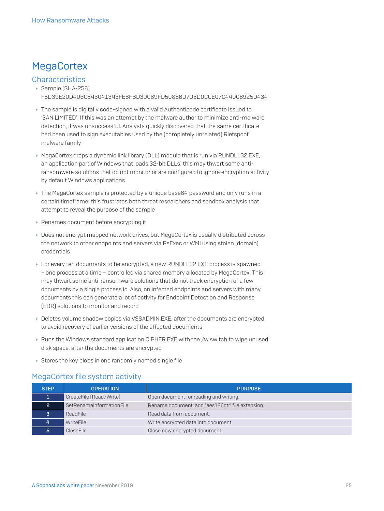# <span id="page-24-0"></span>**MegaCortex**

### **Characteristics**

- Sample (SHA-256) F5D39E20D406C846041343FE8FBD30069FD50886D7D3D0CCE07C44008925D434
- The sample is digitally code-signed with a valid Authenticode certificate issued to '3AN LIMITED'; If this was an attempt by the malware author to minimize anti-malware detection, it was unsuccessful. Analysts quickly discovered that the same certificate had been used to sign executables used by the (completely unrelated) Rietspoof malware family
- ▶ MegaCortex drops a dynamic link library (DLL) module that is run via RUNDLL32.EXE. an application part of Windows that loads 32-bit DLLs; this may thwart some antiransomware solutions that do not monitor or are configured to ignore encryption activity by default Windows applications
- ▸ The MegaCortex sample is protected by a unique base64 password and only runs in a certain timeframe; this frustrates both threat researchers and sandbox analysis that attempt to reveal the purpose of the sample
- Renames document before encrypting it
- ▶ Does not encrypt mapped network drives, but MegaCortex is usually distributed across the network to other endpoints and servers via PsExec or WMI using stolen (domain) credentials
- ▶ For every ten documents to be encrypted, a new RUNDLL32.EXE process is spawned - one process at a time - controlled via shared memory allocated by MegaCortex. This may thwart some anti-ransomware solutions that do not track encryption of a few documents by a single process id. Also, on infected endpoints and servers with many documents this can generate a lot of activity for Endpoint Detection and Response (EDR) solutions to monitor and record
- Deletes volume shadow copies via VSSADMIN.EXE, after the documents are encrypted, to avoid recovery of earlier versions of the affected documents
- ▶ Runs the Windows standard application CIPHER.EXE with the /w switch to wipe unused disk space, after the documents are encrypted
- Stores the key blobs in one randomly named single file

### MegaCortex file system activity

| <b>STEP</b> | <b>OPERATION</b>         | <b>PURPOSE</b>                                   |
|-------------|--------------------------|--------------------------------------------------|
|             | CreateFile (Read/Write)  | Open document for reading and writing.           |
|             | SetRenameInformationFile | Rename document: add 'aes128ctr' file extension. |
| з.          | ReadFile                 | Read data from document.                         |
| Д           | WriteFile                | Write encrypted data into document.              |
| 5.          | CloseFile                | Close now encrypted document.                    |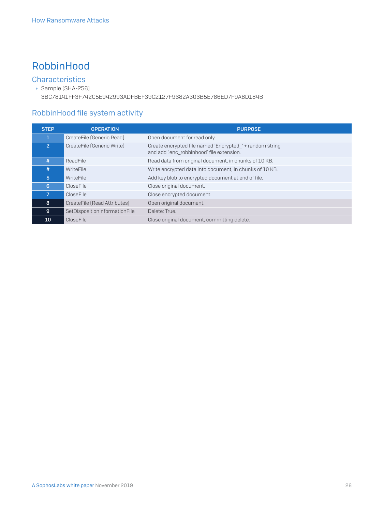# <span id="page-25-0"></span>RobbinHood

### **Characteristics**

Sample (SHA-256) 3BC78141FF3F742C5E942993ADFBEF39C2127F9682A303B5E786ED7F9A8D184B

### RobbinHood file system activity

| <b>STEP</b> | <b>OPERATION</b>              | <b>PURPOSE</b>                                                                                      |
|-------------|-------------------------------|-----------------------------------------------------------------------------------------------------|
|             | CreateFile (Generic Read)     | Open document for read only.                                                                        |
| 2           | CreateFile (Generic Write)    | Create encrypted file named 'Encrypted' + random string<br>and add 'enc_robbinhood' file extension. |
| 1#1         | ReadFile                      | Read data from original document, in chunks of 10 KB.                                               |
| #           | WriteFile                     | Write encrypted data into document, in chunks of 10 KB.                                             |
| 5           | WriteFile                     | Add key blob to encrypted document at end of file.                                                  |
| 6           | CloseFile                     | Close original document.                                                                            |
|             | CloseFile                     | Close encrypted document.                                                                           |
| 8           | CreateFile (Read Attributes)  | Open original document.                                                                             |
| 9           | SetDispositionInformationFile | Delete: True.                                                                                       |
| 10          | CloseFile                     | Close original document, committing delete.                                                         |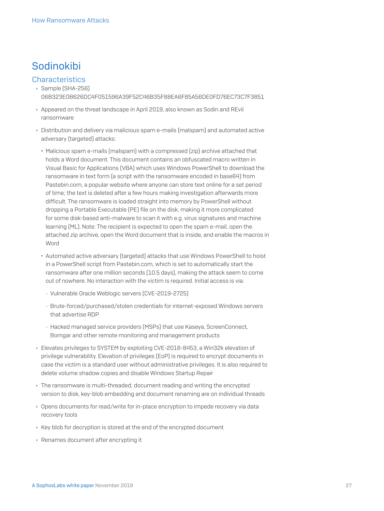# <span id="page-26-0"></span>Sodinokibi

### **Characteristics**

- Sample (SHA-256) 06B323E0B626DC4F051596A39F52C46B35F88EA6F85A56DE0FD76EC73C7F3851
- Ì Appeared on the threat landscape in April 2019, also known as Sodin and REvil ransomware
- $\rightarrow$  Distribution and delivery via malicious spam e-mails (malspam) and automated active adversary (targeted) attacks:
	- Malicious spam e-mails (malspam) with a compressed (zip) archive attached that holds a Word document. This document contains an obfuscated macro written in Visual Basic for Applications (VBA) which uses Windows PowerShell to download the ransomware in text form (a script with the ransomware encoded in base64) from Pastebin.com, a popular website where anyone can store text online for a set period of time; the text is deleted after a few hours making investigation afterwards more difficult. The ransomware is loaded straight into memory by PowerShell without dropping a Portable Executable (PE) file on the disk, making it more complicated for some disk-based anti-malware to scan it with e.g. virus signatures and machine learning (ML). Note: The recipient is expected to open the spam e-mail, open the attached zip archive, open the Word document that is inside, and enable the macros in Word
	- Automated active adversary (targeted) attacks that use Windows PowerShell to hoist in a PowerShell script from Pastebin.com, which is set to automatically start the ransomware after one million seconds (10.5 days), making the attack seem to come out of nowhere. No interaction with the victim is required. Initial access is via:
		- Vulnerable Oracle Weblogic servers (CVE-2019-2725)
		- Brute-forced/purchased/stolen credentials for internet-exposed Windows servers that advertise RDP
		- Hacked managed service providers (MSPs) that use Kaseya, ScreenConnect, Bomgar and other remote monitoring and management products
- ▶ Elevates privileges to SYSTEM by exploiting CVE-2018-8453, a Win32k elevation of privilege vulnerability. Elevation of privileges (EoP) is required to encrypt documents in case the victim is a standard user without administrative privileges. It is also required to delete volume shadow copies and disable Windows Startup Repair
- ▸ The ransomware is multi-threaded; document reading and writing the encrypted version to disk, key-blob embedding and document renaming are on individual threads
- Ì Opens documents for read/write for in-place encryption to impede recovery via data recovery tools
- $\rightarrow$  Key blob for decryption is stored at the end of the encrypted document
- **Renames document after encrypting it**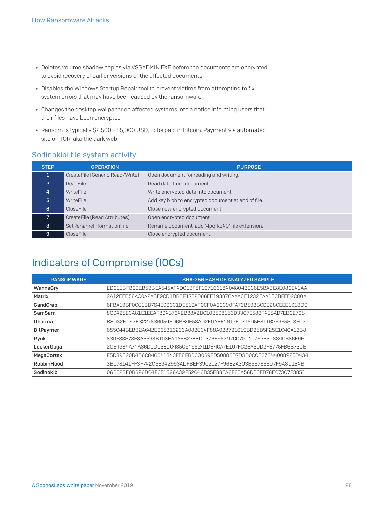- <span id="page-27-0"></span>Deletes volume shadow copies via VSSADMIN.EXE before the documents are encrypted to avoid recovery of earlier versions of the affected documents
- Disables the Windows Startup Repair tool to prevent victims from attempting to fix system errors that may have been caused by the ransomware
- ▶ Changes the desktop wallpaper on affected systems into a notice informing users that their files have been encrypted
- ▶ Ransom is typically \$2,500 \$5,000 USD, to be paid in bitcoin. Payment via automated site on TOR, aka the dark web

### Sodinokibi file system activity

| <b>STEP</b>    | <b>OPERATION</b>                     | <b>PURPOSE</b>                                     |
|----------------|--------------------------------------|----------------------------------------------------|
| $\mathbf{1}$   | CreateFile (Generic Read/Write)      | Open document for reading and writing.             |
| $\overline{2}$ | Read data from document.<br>ReadFile |                                                    |
| 4              | WriteFile                            | Write encrypted data into document.                |
| 5.             | WriteFile                            | Add key blob to encrypted document at end of file. |
| 6              | CloseFile                            | Close now encrypted document.                      |
| 7              | CreateFile (Read Attributes)         | Open encrypted document.                           |
| 8              | SetRenameInformationFile             | Rename document: add '.4pqrk340' file extension.   |
| 9              | CloseFile                            | Close encrypted document.                          |

# **Indicators of Compromise (IOCs)**

| <b>RANSOMWARE</b> | <b>SHA-256 HASH OF ANALYZED SAMPLE</b>                           |
|-------------------|------------------------------------------------------------------|
| WannaCry          | ED01EBFBC9EB5BBEA545AF4D01BF5F1071661840480439C6E5BABE8E080E41AA |
| Matrix            | 2A12EEB58AC0A2A3E9CD1DBBF1752086EE19387CAAA0E1232EAA13CBFED2C80A |
| GandCrab          | 6FBA19BF0CC1BB764E063C1DE51CAF0CF0A6CC90FA76B592BCDE28CEEE161BDC |
| SamSam            | 8C0425ECA81E1EEAF8043764EB38A2BC103598163D3307E583F4E5AD7EB0E708 |
| Dharma            | B8D32ED92E3227836054ED6BB4E53AD2E0ABE4617F1215D5E81162F9F5513EC2 |
| <b>BitPaymer</b>  | 655C44BEBB2A642E665316236A082C94F88A028721C19BD28B5F25E1C40A13B8 |
| Ryuk              | 830F83578F3A5593B103EA4A682788DC376E96247CD790417F2630884D686E9F |
| LockerGoga        | 2CE4984A74A36DCDC380C435C9495241DB4CA7E107FC2BA50D2FE775FB6B73CE |
| MegaCortex        | F5D39E20D406C846041343FE8FBD30069FD50886D7D3D0CCE07C44008925D434 |
| RobbinHood        | 3BC78141FF3F742C5E942993ADFBEF39C2127F9682A303B5E786ED7F9A8D184B |
| Sodinokibi        | 06B323E0B626DC4F051596A39F52C46B35F88EA6F85A56DE0FD76EC73C7F3851 |